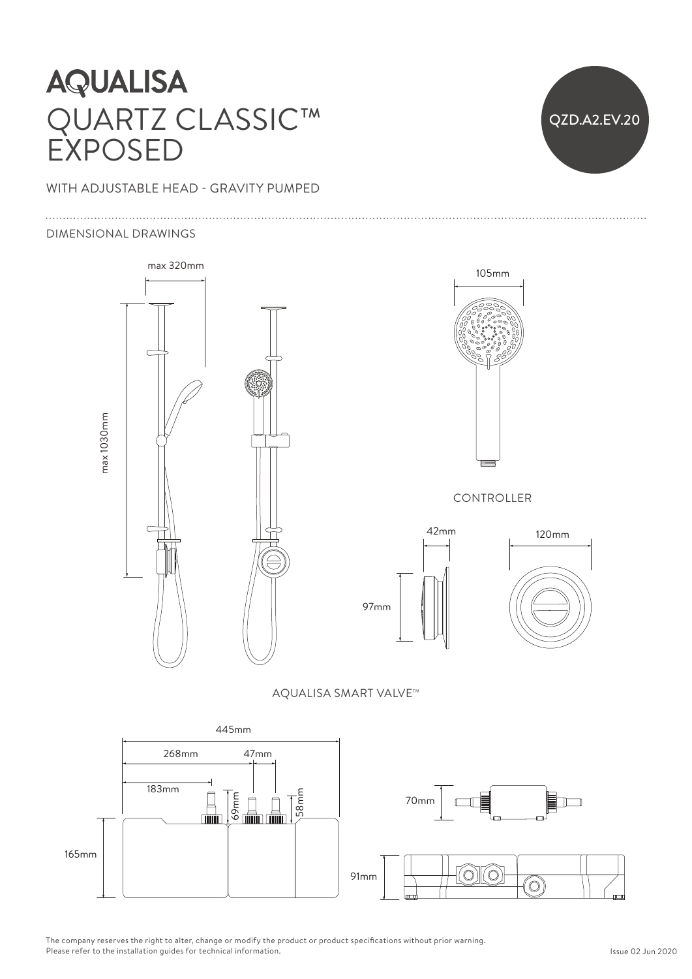# |<br>|<br>|<br>|<br>| **AQUALISA** QUARTZ CLASSIC™ EXPOSED

### WITH ADJUSTABLE HEAD - GRAVITY PUMPED

#### DIMENSIONAL DRAWINGS



QZD.A2.EV.20 25mm 70mm





AQUALISA SMART VALVE™



The company reserves the right to alter, change or modify the product or product specifications without prior warning.<br>Please refer to the installation quides for technical information. Please refer to the installation guides for technical information.